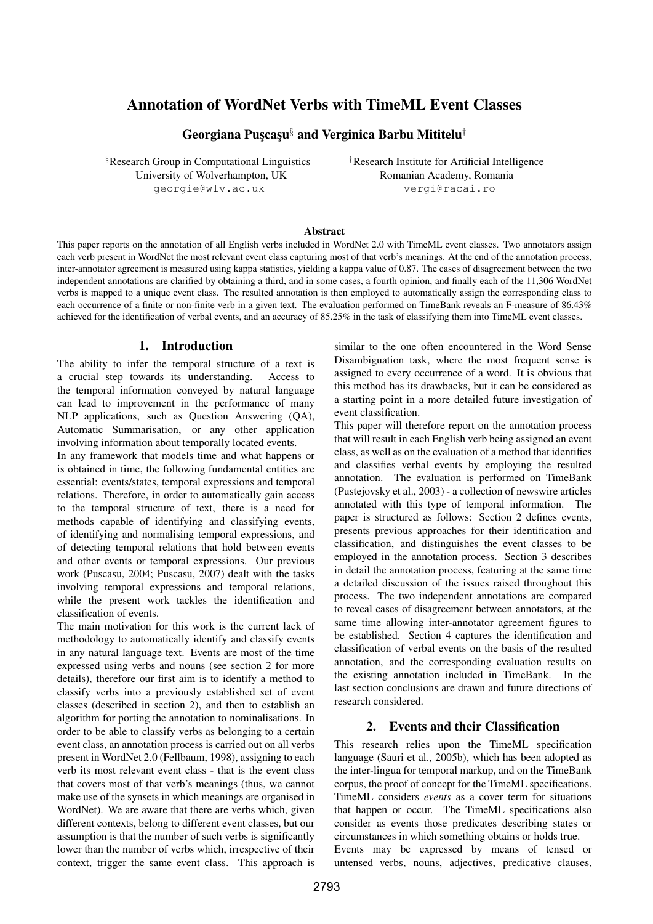# Annotation of WordNet Verbs with TimeML Event Classes

Georgiana Puscasu<sup>§</sup> and Verginica Barbu Mititelu<sup>†</sup>

§Research Group in Computational Linguistics †Research Institute for Artificial Intelligence University of Wolverhampton, UK Romanian Academy, Romania georgie@wlv.ac.uk vergi@racai.ro

### Abstract

This paper reports on the annotation of all English verbs included in WordNet 2.0 with TimeML event classes. Two annotators assign each verb present in WordNet the most relevant event class capturing most of that verb's meanings. At the end of the annotation process, inter-annotator agreement is measured using kappa statistics, yielding a kappa value of 0.87. The cases of disagreement between the two independent annotations are clarified by obtaining a third, and in some cases, a fourth opinion, and finally each of the 11,306 WordNet verbs is mapped to a unique event class. The resulted annotation is then employed to automatically assign the corresponding class to each occurrence of a finite or non-finite verb in a given text. The evaluation performed on TimeBank reveals an F-measure of 86.43% achieved for the identification of verbal events, and an accuracy of 85.25% in the task of classifying them into TimeML event classes.

# 1. Introduction

The ability to infer the temporal structure of a text is a crucial step towards its understanding. Access to the temporal information conveyed by natural language can lead to improvement in the performance of many NLP applications, such as Question Answering (QA), Automatic Summarisation, or any other application involving information about temporally located events.

In any framework that models time and what happens or is obtained in time, the following fundamental entities are essential: events/states, temporal expressions and temporal relations. Therefore, in order to automatically gain access to the temporal structure of text, there is a need for methods capable of identifying and classifying events, of identifying and normalising temporal expressions, and of detecting temporal relations that hold between events and other events or temporal expressions. Our previous work (Puscasu, 2004; Puscasu, 2007) dealt with the tasks involving temporal expressions and temporal relations, while the present work tackles the identification and classification of events.

The main motivation for this work is the current lack of methodology to automatically identify and classify events in any natural language text. Events are most of the time expressed using verbs and nouns (see section 2 for more details), therefore our first aim is to identify a method to classify verbs into a previously established set of event classes (described in section 2), and then to establish an algorithm for porting the annotation to nominalisations. In order to be able to classify verbs as belonging to a certain event class, an annotation process is carried out on all verbs present in WordNet 2.0 (Fellbaum, 1998), assigning to each verb its most relevant event class - that is the event class that covers most of that verb's meanings (thus, we cannot make use of the synsets in which meanings are organised in WordNet). We are aware that there are verbs which, given different contexts, belong to different event classes, but our assumption is that the number of such verbs is significantly lower than the number of verbs which, irrespective of their context, trigger the same event class. This approach is

similar to the one often encountered in the Word Sense Disambiguation task, where the most frequent sense is assigned to every occurrence of a word. It is obvious that this method has its drawbacks, but it can be considered as a starting point in a more detailed future investigation of event classification.

This paper will therefore report on the annotation process that will result in each English verb being assigned an event class, as well as on the evaluation of a method that identifies and classifies verbal events by employing the resulted annotation. The evaluation is performed on TimeBank (Pustejovsky et al., 2003) - a collection of newswire articles annotated with this type of temporal information. The paper is structured as follows: Section 2 defines events, presents previous approaches for their identification and classification, and distinguishes the event classes to be employed in the annotation process. Section 3 describes in detail the annotation process, featuring at the same time a detailed discussion of the issues raised throughout this process. The two independent annotations are compared to reveal cases of disagreement between annotators, at the same time allowing inter-annotator agreement figures to be established. Section 4 captures the identification and classification of verbal events on the basis of the resulted annotation, and the corresponding evaluation results on the existing annotation included in TimeBank. In the last section conclusions are drawn and future directions of research considered.

### 2. Events and their Classification

This research relies upon the TimeML specification language (Sauri et al., 2005b), which has been adopted as the inter-lingua for temporal markup, and on the TimeBank corpus, the proof of concept for the TimeML specifications. TimeML considers *events* as a cover term for situations that happen or occur. The TimeML specifications also consider as events those predicates describing states or circumstances in which something obtains or holds true. Events may be expressed by means of tensed or untensed verbs, nouns, adjectives, predicative clauses,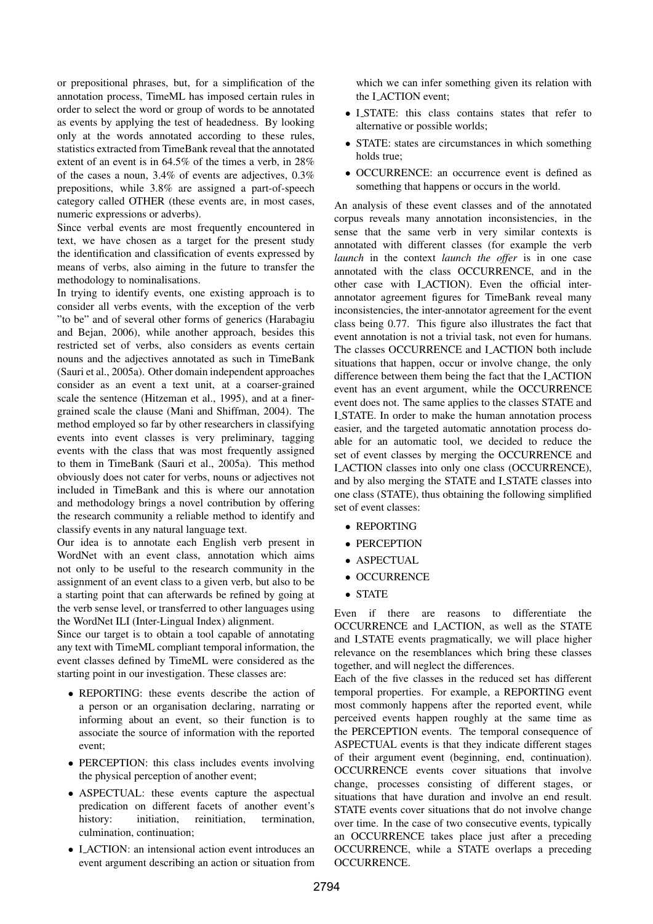or prepositional phrases, but, for a simplification of the annotation process, TimeML has imposed certain rules in order to select the word or group of words to be annotated as events by applying the test of headedness. By looking only at the words annotated according to these rules, statistics extracted from TimeBank reveal that the annotated extent of an event is in 64.5% of the times a verb, in 28% of the cases a noun, 3.4% of events are adjectives, 0.3% prepositions, while 3.8% are assigned a part-of-speech category called OTHER (these events are, in most cases, numeric expressions or adverbs).

Since verbal events are most frequently encountered in text, we have chosen as a target for the present study the identification and classification of events expressed by means of verbs, also aiming in the future to transfer the methodology to nominalisations.

In trying to identify events, one existing approach is to consider all verbs events, with the exception of the verb "to be" and of several other forms of generics (Harabagiu and Bejan, 2006), while another approach, besides this restricted set of verbs, also considers as events certain nouns and the adjectives annotated as such in TimeBank (Sauri et al., 2005a). Other domain independent approaches consider as an event a text unit, at a coarser-grained scale the sentence (Hitzeman et al., 1995), and at a finergrained scale the clause (Mani and Shiffman, 2004). The method employed so far by other researchers in classifying events into event classes is very preliminary, tagging events with the class that was most frequently assigned to them in TimeBank (Sauri et al., 2005a). This method obviously does not cater for verbs, nouns or adjectives not included in TimeBank and this is where our annotation and methodology brings a novel contribution by offering the research community a reliable method to identify and classify events in any natural language text.

Our idea is to annotate each English verb present in WordNet with an event class, annotation which aims not only to be useful to the research community in the assignment of an event class to a given verb, but also to be a starting point that can afterwards be refined by going at the verb sense level, or transferred to other languages using the WordNet ILI (Inter-Lingual Index) alignment.

Since our target is to obtain a tool capable of annotating any text with TimeML compliant temporal information, the event classes defined by TimeML were considered as the starting point in our investigation. These classes are:

- REPORTING: these events describe the action of a person or an organisation declaring, narrating or informing about an event, so their function is to associate the source of information with the reported event;
- PERCEPTION: this class includes events involving the physical perception of another event;
- ASPECTUAL: these events capture the aspectual predication on different facets of another event's history: initiation, reinitiation, termination, culmination, continuation;
- I ACTION: an intensional action event introduces an event argument describing an action or situation from

which we can infer something given its relation with the I ACTION event;

- I STATE: this class contains states that refer to alternative or possible worlds;
- STATE: states are circumstances in which something holds true;
- OCCURRENCE: an occurrence event is defined as something that happens or occurs in the world.

An analysis of these event classes and of the annotated corpus reveals many annotation inconsistencies, in the sense that the same verb in very similar contexts is annotated with different classes (for example the verb *launch* in the context *launch the offer* is in one case annotated with the class OCCURRENCE, and in the other case with I ACTION). Even the official interannotator agreement figures for TimeBank reveal many inconsistencies, the inter-annotator agreement for the event class being 0.77. This figure also illustrates the fact that event annotation is not a trivial task, not even for humans. The classes OCCURRENCE and I ACTION both include situations that happen, occur or involve change, the only difference between them being the fact that the I ACTION event has an event argument, while the OCCURRENCE event does not. The same applies to the classes STATE and I STATE. In order to make the human annotation process easier, and the targeted automatic annotation process doable for an automatic tool, we decided to reduce the set of event classes by merging the OCCURRENCE and I ACTION classes into only one class (OCCURRENCE), and by also merging the STATE and LSTATE classes into one class (STATE), thus obtaining the following simplified set of event classes:

- REPORTING
- PERCEPTION
- ASPECTUAL
- OCCURRENCE
- STATE

Even if there are reasons to differentiate the OCCURRENCE and I ACTION, as well as the STATE and I\_STATE events pragmatically, we will place higher relevance on the resemblances which bring these classes together, and will neglect the differences.

Each of the five classes in the reduced set has different temporal properties. For example, a REPORTING event most commonly happens after the reported event, while perceived events happen roughly at the same time as the PERCEPTION events. The temporal consequence of ASPECTUAL events is that they indicate different stages of their argument event (beginning, end, continuation). OCCURRENCE events cover situations that involve change, processes consisting of different stages, or situations that have duration and involve an end result. STATE events cover situations that do not involve change over time. In the case of two consecutive events, typically an OCCURRENCE takes place just after a preceding OCCURRENCE, while a STATE overlaps a preceding OCCURRENCE.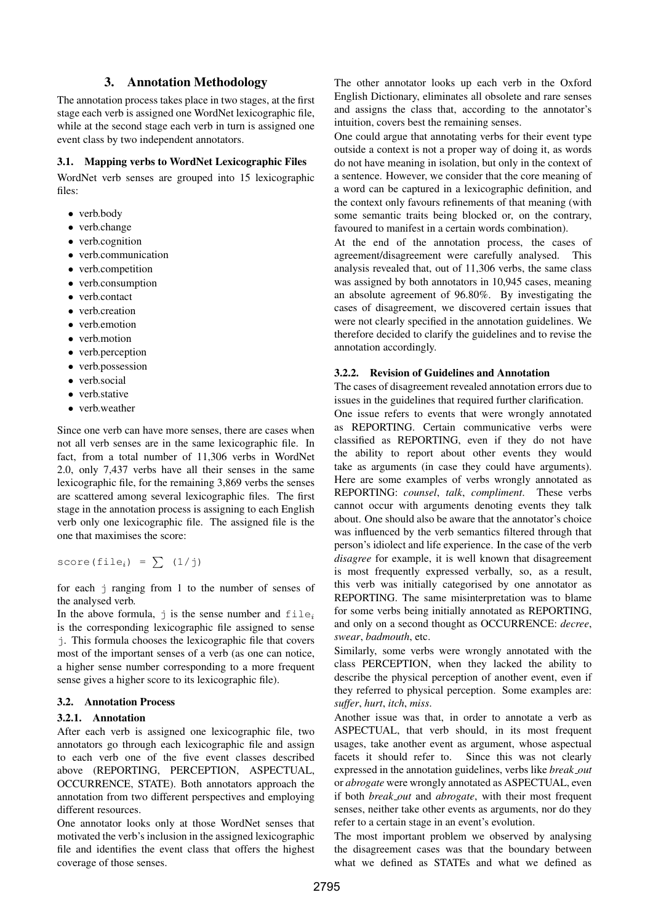# 3. Annotation Methodology

The annotation process takes place in two stages, at the first stage each verb is assigned one WordNet lexicographic file, while at the second stage each verb in turn is assigned one event class by two independent annotators.

### 3.1. Mapping verbs to WordNet Lexicographic Files

WordNet verb senses are grouped into 15 lexicographic files:

- verb.body
- verb.change
- verb.cognition
- verb.communication
- verb.competition
- verb.consumption
- verb.contact
- verb.creation
- verb.emotion
- verb.motion
- verb.perception
- verb.possession
- verb.social
- verb.stative
- verb.weather

Since one verb can have more senses, there are cases when not all verb senses are in the same lexicographic file. In fact, from a total number of 11,306 verbs in WordNet 2.0, only 7,437 verbs have all their senses in the same lexicographic file, for the remaining 3,869 verbs the senses are scattered among several lexicographic files. The first stage in the annotation process is assigning to each English verb only one lexicographic file. The assigned file is the one that maximises the score:

score(file<sub>i</sub>) =  $\sum$  (1/j)

for each j ranging from 1 to the number of senses of the analysed verb.

In the above formula,  $\dot{\mathbf{i}}$  is the sense number and  $\mathbf{file}_i$ is the corresponding lexicographic file assigned to sense j. This formula chooses the lexicographic file that covers most of the important senses of a verb (as one can notice, a higher sense number corresponding to a more frequent sense gives a higher score to its lexicographic file).

### 3.2. Annotation Process

### 3.2.1. Annotation

After each verb is assigned one lexicographic file, two annotators go through each lexicographic file and assign to each verb one of the five event classes described above (REPORTING, PERCEPTION, ASPECTUAL, OCCURRENCE, STATE). Both annotators approach the annotation from two different perspectives and employing different resources.

One annotator looks only at those WordNet senses that motivated the verb's inclusion in the assigned lexicographic file and identifies the event class that offers the highest coverage of those senses.

The other annotator looks up each verb in the Oxford English Dictionary, eliminates all obsolete and rare senses and assigns the class that, according to the annotator's intuition, covers best the remaining senses.

One could argue that annotating verbs for their event type outside a context is not a proper way of doing it, as words do not have meaning in isolation, but only in the context of a sentence. However, we consider that the core meaning of a word can be captured in a lexicographic definition, and the context only favours refinements of that meaning (with some semantic traits being blocked or, on the contrary, favoured to manifest in a certain words combination).

At the end of the annotation process, the cases of agreement/disagreement were carefully analysed. This analysis revealed that, out of 11,306 verbs, the same class was assigned by both annotators in 10,945 cases, meaning an absolute agreement of 96.80%. By investigating the cases of disagreement, we discovered certain issues that were not clearly specified in the annotation guidelines. We therefore decided to clarify the guidelines and to revise the annotation accordingly.

#### 3.2.2. Revision of Guidelines and Annotation

The cases of disagreement revealed annotation errors due to issues in the guidelines that required further clarification.

One issue refers to events that were wrongly annotated as REPORTING. Certain communicative verbs were classified as REPORTING, even if they do not have the ability to report about other events they would take as arguments (in case they could have arguments). Here are some examples of verbs wrongly annotated as REPORTING: *counsel*, *talk*, *compliment*. These verbs cannot occur with arguments denoting events they talk about. One should also be aware that the annotator's choice was influenced by the verb semantics filtered through that person's idiolect and life experience. In the case of the verb *disagree* for example, it is well known that disagreement is most frequently expressed verbally, so, as a result, this verb was initially categorised by one annotator as REPORTING. The same misinterpretation was to blame for some verbs being initially annotated as REPORTING, and only on a second thought as OCCURRENCE: *decree*, *swear*, *badmouth*, etc.

Similarly, some verbs were wrongly annotated with the class PERCEPTION, when they lacked the ability to describe the physical perception of another event, even if they referred to physical perception. Some examples are: *suffer*, *hurt*, *itch*, *miss*.

Another issue was that, in order to annotate a verb as ASPECTUAL, that verb should, in its most frequent usages, take another event as argument, whose aspectual facets it should refer to. Since this was not clearly expressed in the annotation guidelines, verbs like *break out* or *abrogate* were wrongly annotated as ASPECTUAL, even if both *break out* and *abrogate*, with their most frequent senses, neither take other events as arguments, nor do they refer to a certain stage in an event's evolution.

The most important problem we observed by analysing the disagreement cases was that the boundary between what we defined as STATEs and what we defined as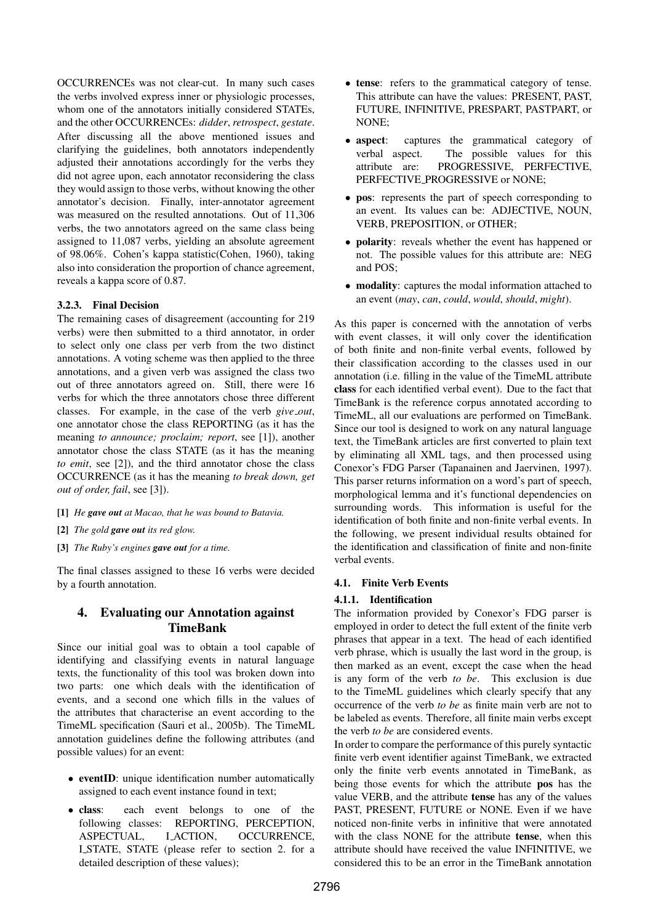OCCURRENCEs was not clear-cut. In many such cases the verbs involved express inner or physiologic processes, whom one of the annotators initially considered STATEs, and the other OCCURRENCEs: *didder*, *retrospect*, *gestate*. After discussing all the above mentioned issues and clarifying the guidelines, both annotators independently adjusted their annotations accordingly for the verbs they did not agree upon, each annotator reconsidering the class they would assign to those verbs, without knowing the other annotator's decision. Finally, inter-annotator agreement was measured on the resulted annotations. Out of 11,306 verbs, the two annotators agreed on the same class being assigned to 11,087 verbs, yielding an absolute agreement of 98.06%. Cohen's kappa statistic(Cohen, 1960), taking also into consideration the proportion of chance agreement, reveals a kappa score of 0.87.

### 3.2.3. Final Decision

The remaining cases of disagreement (accounting for 219 verbs) were then submitted to a third annotator, in order to select only one class per verb from the two distinct annotations. A voting scheme was then applied to the three annotations, and a given verb was assigned the class two out of three annotators agreed on. Still, there were 16 verbs for which the three annotators chose three different classes. For example, in the case of the verb *give out*, one annotator chose the class REPORTING (as it has the meaning *to announce; proclaim; report*, see [1]), another annotator chose the class STATE (as it has the meaning *to emit*, see [2]), and the third annotator chose the class OCCURRENCE (as it has the meaning *to break down, get out of order, fail*, see [3]).

- [1] *He gave out at Macao, that he was bound to Batavia.*
- [2] *The gold gave out its red glow.*
- [3] *The Ruby's engines gave out for a time.*

The final classes assigned to these 16 verbs were decided by a fourth annotation.

# 4. Evaluating our Annotation against TimeBank

Since our initial goal was to obtain a tool capable of identifying and classifying events in natural language texts, the functionality of this tool was broken down into two parts: one which deals with the identification of events, and a second one which fills in the values of the attributes that characterise an event according to the TimeML specification (Sauri et al., 2005b). The TimeML annotation guidelines define the following attributes (and possible values) for an event:

- eventID: unique identification number automatically assigned to each event instance found in text;
- class: each event belongs to one of the following classes: REPORTING, PERCEPTION, ASPECTUAL, I\_ACTION, OCCURRENCE, I STATE, STATE (please refer to section 2. for a detailed description of these values);
- tense: refers to the grammatical category of tense. This attribute can have the values: PRESENT, PAST, FUTURE, INFINITIVE, PRESPART, PASTPART, or NONE;
- aspect: captures the grammatical category of verbal aspect. The possible values for this attribute are: PROGRESSIVE, PERFECTIVE, PERFECTIVE PROGRESSIVE or NONE;
- pos: represents the part of speech corresponding to an event. Its values can be: ADJECTIVE, NOUN, VERB, PREPOSITION, or OTHER;
- polarity: reveals whether the event has happened or not. The possible values for this attribute are: NEG and POS;
- modality: captures the modal information attached to an event (*may*, *can*, *could*, *would*, *should*, *might*).

As this paper is concerned with the annotation of verbs with event classes, it will only cover the identification of both finite and non-finite verbal events, followed by their classification according to the classes used in our annotation (i.e. filling in the value of the TimeML attribute class for each identified verbal event). Due to the fact that TimeBank is the reference corpus annotated according to TimeML, all our evaluations are performed on TimeBank. Since our tool is designed to work on any natural language text, the TimeBank articles are first converted to plain text by eliminating all XML tags, and then processed using Conexor's FDG Parser (Tapanainen and Jaervinen, 1997). This parser returns information on a word's part of speech, morphological lemma and it's functional dependencies on surrounding words. This information is useful for the identification of both finite and non-finite verbal events. In the following, we present individual results obtained for the identification and classification of finite and non-finite verbal events.

# 4.1. Finite Verb Events

# 4.1.1. Identification

The information provided by Conexor's FDG parser is employed in order to detect the full extent of the finite verb phrases that appear in a text. The head of each identified verb phrase, which is usually the last word in the group, is then marked as an event, except the case when the head is any form of the verb *to be*. This exclusion is due to the TimeML guidelines which clearly specify that any occurrence of the verb *to be* as finite main verb are not to be labeled as events. Therefore, all finite main verbs except the verb *to be* are considered events.

In order to compare the performance of this purely syntactic finite verb event identifier against TimeBank, we extracted only the finite verb events annotated in TimeBank, as being those events for which the attribute pos has the value VERB, and the attribute tense has any of the values PAST, PRESENT, FUTURE or NONE. Even if we have noticed non-finite verbs in infinitive that were annotated with the class NONE for the attribute tense, when this attribute should have received the value INFINITIVE, we considered this to be an error in the TimeBank annotation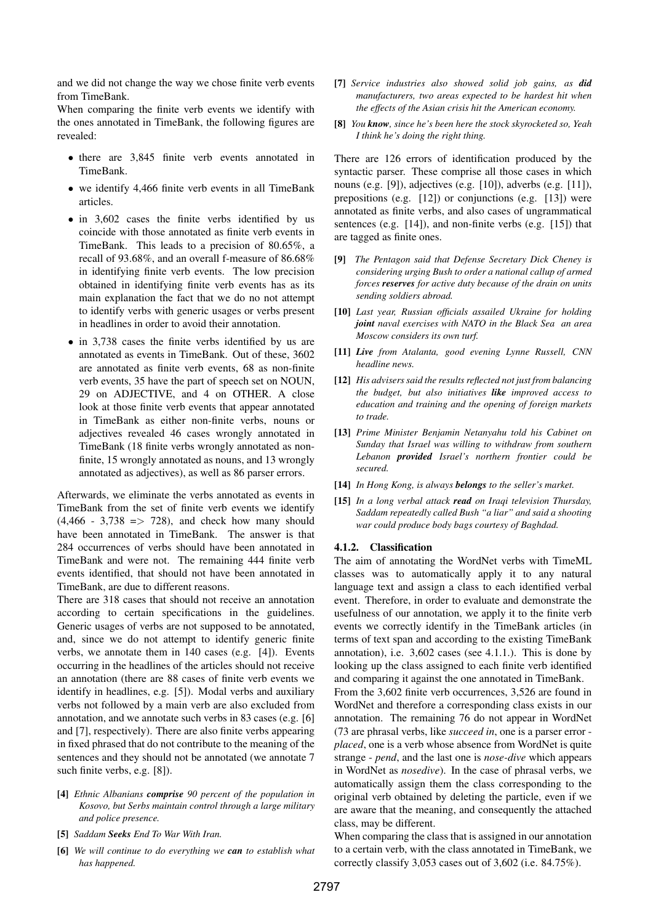and we did not change the way we chose finite verb events from TimeBank.

When comparing the finite verb events we identify with the ones annotated in TimeBank, the following figures are revealed:

- there are 3,845 finite verb events annotated in TimeBank.
- we identify 4,466 finite verb events in all TimeBank articles.
- in 3,602 cases the finite verbs identified by us coincide with those annotated as finite verb events in TimeBank. This leads to a precision of 80.65%, a recall of 93.68%, and an overall f-measure of 86.68% in identifying finite verb events. The low precision obtained in identifying finite verb events has as its main explanation the fact that we do no not attempt to identify verbs with generic usages or verbs present in headlines in order to avoid their annotation.
- in 3,738 cases the finite verbs identified by us are annotated as events in TimeBank. Out of these, 3602 are annotated as finite verb events, 68 as non-finite verb events, 35 have the part of speech set on NOUN, 29 on ADJECTIVE, and 4 on OTHER. A close look at those finite verb events that appear annotated in TimeBank as either non-finite verbs, nouns or adjectives revealed 46 cases wrongly annotated in TimeBank (18 finite verbs wrongly annotated as nonfinite, 15 wrongly annotated as nouns, and 13 wrongly annotated as adjectives), as well as 86 parser errors.

Afterwards, we eliminate the verbs annotated as events in TimeBank from the set of finite verb events we identify  $(4,466 - 3,738 \implies 728)$ , and check how many should have been annotated in TimeBank. The answer is that 284 occurrences of verbs should have been annotated in TimeBank and were not. The remaining 444 finite verb events identified, that should not have been annotated in TimeBank, are due to different reasons.

There are 318 cases that should not receive an annotation according to certain specifications in the guidelines. Generic usages of verbs are not supposed to be annotated, and, since we do not attempt to identify generic finite verbs, we annotate them in 140 cases (e.g. [4]). Events occurring in the headlines of the articles should not receive an annotation (there are 88 cases of finite verb events we identify in headlines, e.g. [5]). Modal verbs and auxiliary verbs not followed by a main verb are also excluded from annotation, and we annotate such verbs in 83 cases (e.g. [6] and [7], respectively). There are also finite verbs appearing in fixed phrased that do not contribute to the meaning of the sentences and they should not be annotated (we annotate 7 such finite verbs, e.g. [8]).

- [4] *Ethnic Albanians comprise 90 percent of the population in Kosovo, but Serbs maintain control through a large military and police presence.*
- [5] *Saddam Seeks End To War With Iran.*
- [6] *We will continue to do everything we can to establish what has happened.*
- [7] *Service industries also showed solid job gains, as did manufacturers, two areas expected to be hardest hit when the effects of the Asian crisis hit the American economy.*
- [8] *You know, since he's been here the stock skyrocketed so, Yeah I think he's doing the right thing.*

There are 126 errors of identification produced by the syntactic parser. These comprise all those cases in which nouns (e.g. [9]), adjectives (e.g. [10]), adverbs (e.g. [11]), prepositions (e.g. [12]) or conjunctions (e.g. [13]) were annotated as finite verbs, and also cases of ungrammatical sentences (e.g. [14]), and non-finite verbs (e.g. [15]) that are tagged as finite ones.

- [9] *The Pentagon said that Defense Secretary Dick Cheney is considering urging Bush to order a national callup of armed forces reserves for active duty because of the drain on units sending soldiers abroad.*
- [10] *Last year, Russian officials assailed Ukraine for holding joint naval exercises with NATO in the Black Sea an area Moscow considers its own turf.*
- [11] *Live from Atalanta, good evening Lynne Russell, CNN headline news.*
- [12] *His advisers said the results reflected not just from balancing the budget, but also initiatives like improved access to education and training and the opening of foreign markets to trade.*
- [13] *Prime Minister Benjamin Netanyahu told his Cabinet on Sunday that Israel was willing to withdraw from southern Lebanon provided Israel's northern frontier could be secured.*
- [14] *In Hong Kong, is always belongs to the seller's market.*
- [15] *In a long verbal attack read on Iraqi television Thursday, Saddam repeatedly called Bush "a liar" and said a shooting war could produce body bags courtesy of Baghdad.*

#### 4.1.2. Classification

The aim of annotating the WordNet verbs with TimeML classes was to automatically apply it to any natural language text and assign a class to each identified verbal event. Therefore, in order to evaluate and demonstrate the usefulness of our annotation, we apply it to the finite verb events we correctly identify in the TimeBank articles (in terms of text span and according to the existing TimeBank annotation), i.e. 3,602 cases (see 4.1.1.). This is done by looking up the class assigned to each finite verb identified and comparing it against the one annotated in TimeBank.

From the 3,602 finite verb occurrences, 3,526 are found in WordNet and therefore a corresponding class exists in our annotation. The remaining 76 do not appear in WordNet (73 are phrasal verbs, like *succeed in*, one is a parser error *placed*, one is a verb whose absence from WordNet is quite strange - *pend*, and the last one is *nose-dive* which appears in WordNet as *nosedive*). In the case of phrasal verbs, we automatically assign them the class corresponding to the original verb obtained by deleting the particle, even if we are aware that the meaning, and consequently the attached class, may be different.

When comparing the class that is assigned in our annotation to a certain verb, with the class annotated in TimeBank, we correctly classify 3,053 cases out of 3,602 (i.e. 84.75%).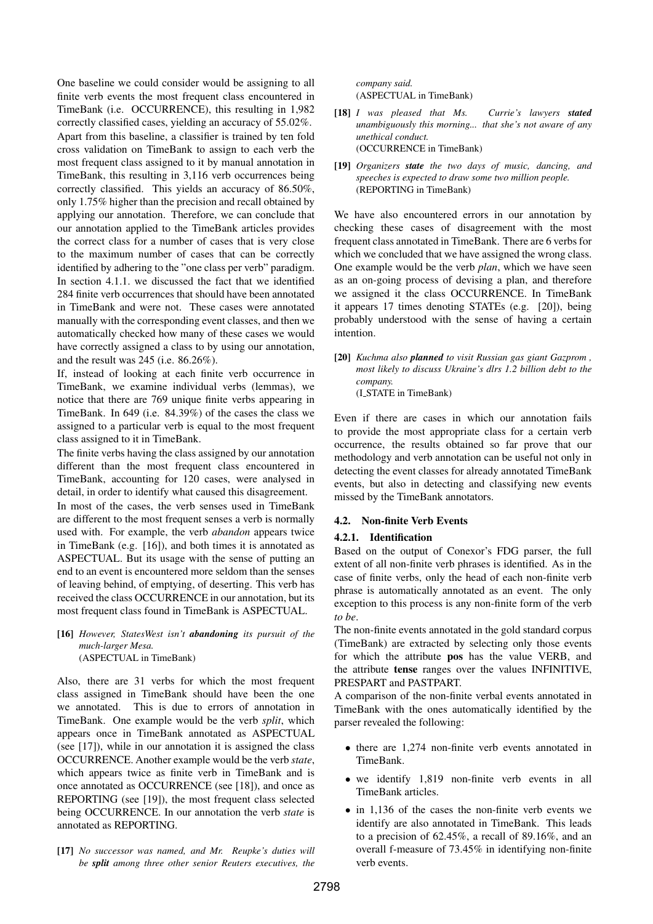One baseline we could consider would be assigning to all finite verb events the most frequent class encountered in TimeBank (i.e. OCCURRENCE), this resulting in 1,982 correctly classified cases, yielding an accuracy of 55.02%. Apart from this baseline, a classifier is trained by ten fold cross validation on TimeBank to assign to each verb the most frequent class assigned to it by manual annotation in TimeBank, this resulting in 3,116 verb occurrences being correctly classified. This yields an accuracy of 86.50%, only 1.75% higher than the precision and recall obtained by applying our annotation. Therefore, we can conclude that our annotation applied to the TimeBank articles provides the correct class for a number of cases that is very close to the maximum number of cases that can be correctly identified by adhering to the "one class per verb" paradigm. In section 4.1.1. we discussed the fact that we identified 284 finite verb occurrences that should have been annotated in TimeBank and were not. These cases were annotated manually with the corresponding event classes, and then we automatically checked how many of these cases we would have correctly assigned a class to by using our annotation, and the result was 245 (i.e. 86.26%).

If, instead of looking at each finite verb occurrence in TimeBank, we examine individual verbs (lemmas), we notice that there are 769 unique finite verbs appearing in TimeBank. In 649 (i.e. 84.39%) of the cases the class we assigned to a particular verb is equal to the most frequent class assigned to it in TimeBank.

The finite verbs having the class assigned by our annotation different than the most frequent class encountered in TimeBank, accounting for 120 cases, were analysed in detail, in order to identify what caused this disagreement.

In most of the cases, the verb senses used in TimeBank are different to the most frequent senses a verb is normally used with. For example, the verb *abandon* appears twice in TimeBank (e.g. [16]), and both times it is annotated as ASPECTUAL. But its usage with the sense of putting an end to an event is encountered more seldom than the senses of leaving behind, of emptying, of deserting. This verb has received the class OCCURRENCE in our annotation, but its most frequent class found in TimeBank is ASPECTUAL.

### [16] *However, StatesWest isn't abandoning its pursuit of the much-larger Mesa.* (ASPECTUAL in TimeBank)

Also, there are 31 verbs for which the most frequent class assigned in TimeBank should have been the one we annotated. This is due to errors of annotation in TimeBank. One example would be the verb *split*, which appears once in TimeBank annotated as ASPECTUAL (see [17]), while in our annotation it is assigned the class OCCURRENCE. Another example would be the verb *state*, which appears twice as finite verb in TimeBank and is once annotated as OCCURRENCE (see [18]), and once as REPORTING (see [19]), the most frequent class selected being OCCURRENCE. In our annotation the verb *state* is annotated as REPORTING.

[17] *No successor was named, and Mr. Reupke's duties will be split among three other senior Reuters executives, the*

*company said.* (ASPECTUAL in TimeBank)

- [18] *I was pleased that Ms. Currie's lawyers stated unambiguously this morning... that she's not aware of any unethical conduct.* (OCCURRENCE in TimeBank)
- [19] *Organizers state the two days of music, dancing, and speeches is expected to draw some two million people.* (REPORTING in TimeBank)

We have also encountered errors in our annotation by checking these cases of disagreement with the most frequent class annotated in TimeBank. There are 6 verbs for which we concluded that we have assigned the wrong class. One example would be the verb *plan*, which we have seen as an on-going process of devising a plan, and therefore we assigned it the class OCCURRENCE. In TimeBank it appears 17 times denoting STATEs (e.g. [20]), being probably understood with the sense of having a certain intention.

[20] *Kuchma also planned to visit Russian gas giant Gazprom , most likely to discuss Ukraine's dlrs 1.2 billion debt to the company.* (I STATE in TimeBank)

Even if there are cases in which our annotation fails to provide the most appropriate class for a certain verb occurrence, the results obtained so far prove that our methodology and verb annotation can be useful not only in detecting the event classes for already annotated TimeBank events, but also in detecting and classifying new events missed by the TimeBank annotators.

# 4.2. Non-finite Verb Events

# 4.2.1. Identification

Based on the output of Conexor's FDG parser, the full extent of all non-finite verb phrases is identified. As in the case of finite verbs, only the head of each non-finite verb phrase is automatically annotated as an event. The only exception to this process is any non-finite form of the verb *to be*.

The non-finite events annotated in the gold standard corpus (TimeBank) are extracted by selecting only those events for which the attribute pos has the value VERB, and the attribute tense ranges over the values INFINITIVE, PRESPART and PASTPART.

A comparison of the non-finite verbal events annotated in TimeBank with the ones automatically identified by the parser revealed the following:

- there are 1,274 non-finite verb events annotated in TimeBank.
- we identify 1,819 non-finite verb events in all TimeBank articles.
- in 1,136 of the cases the non-finite verb events we identify are also annotated in TimeBank. This leads to a precision of 62.45%, a recall of 89.16%, and an overall f-measure of 73.45% in identifying non-finite verb events.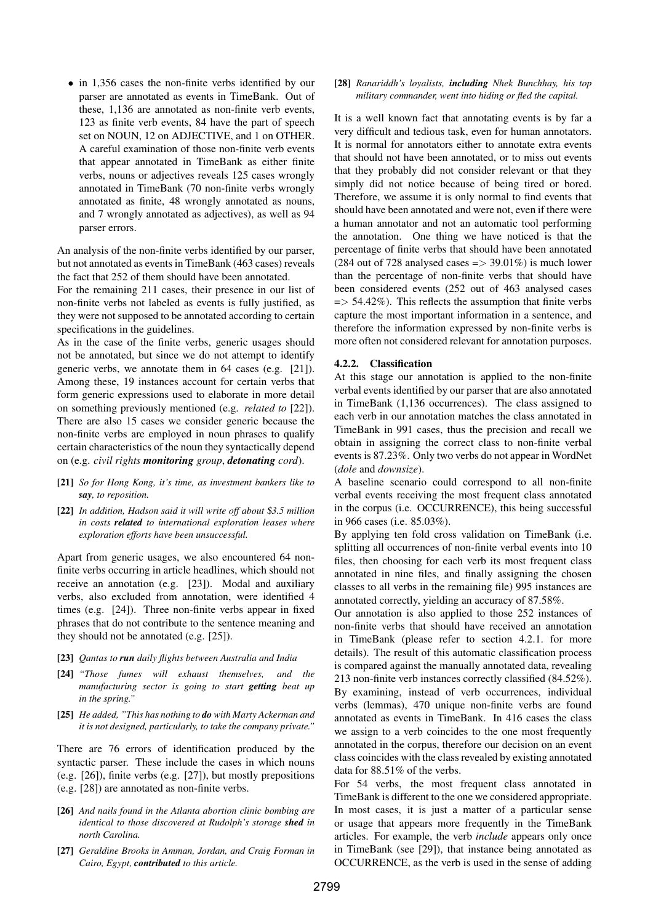• in 1,356 cases the non-finite verbs identified by our parser are annotated as events in TimeBank. Out of these, 1,136 are annotated as non-finite verb events, 123 as finite verb events, 84 have the part of speech set on NOUN, 12 on ADJECTIVE, and 1 on OTHER. A careful examination of those non-finite verb events that appear annotated in TimeBank as either finite verbs, nouns or adjectives reveals 125 cases wrongly annotated in TimeBank (70 non-finite verbs wrongly annotated as finite, 48 wrongly annotated as nouns, and 7 wrongly annotated as adjectives), as well as 94 parser errors.

An analysis of the non-finite verbs identified by our parser, but not annotated as events in TimeBank (463 cases) reveals the fact that 252 of them should have been annotated.

For the remaining 211 cases, their presence in our list of non-finite verbs not labeled as events is fully justified, as they were not supposed to be annotated according to certain specifications in the guidelines.

As in the case of the finite verbs, generic usages should not be annotated, but since we do not attempt to identify generic verbs, we annotate them in 64 cases (e.g. [21]). Among these, 19 instances account for certain verbs that form generic expressions used to elaborate in more detail on something previously mentioned (e.g. *related to* [22]). There are also 15 cases we consider generic because the non-finite verbs are employed in noun phrases to qualify certain characteristics of the noun they syntactically depend on (e.g. *civil rights monitoring group*, *detonating cord*).

- [21] *So for Hong Kong, it's time, as investment bankers like to say, to reposition.*
- [22] *In addition, Hadson said it will write off about* \$*3.5 million in costs related to international exploration leases where exploration efforts have been unsuccessful.*

Apart from generic usages, we also encountered 64 nonfinite verbs occurring in article headlines, which should not receive an annotation (e.g. [23]). Modal and auxiliary verbs, also excluded from annotation, were identified 4 times (e.g. [24]). Three non-finite verbs appear in fixed phrases that do not contribute to the sentence meaning and they should not be annotated (e.g. [25]).

- [23] *Qantas to run daily flights between Australia and India*
- [24] *"Those fumes will exhaust themselves, and the manufacturing sector is going to start getting beat up in the spring."*
- [25] *He added, "This has nothing to do with Marty Ackerman and it is not designed, particularly, to take the company private."*

There are 76 errors of identification produced by the syntactic parser. These include the cases in which nouns (e.g. [26]), finite verbs (e.g. [27]), but mostly prepositions (e.g. [28]) are annotated as non-finite verbs.

- [26] *And nails found in the Atlanta abortion clinic bombing are identical to those discovered at Rudolph's storage shed in north Carolina.*
- [27] *Geraldine Brooks in Amman, Jordan, and Craig Forman in Cairo, Egypt, contributed to this article.*

[28] *Ranariddh's loyalists, including Nhek Bunchhay, his top military commander, went into hiding or fled the capital.*

It is a well known fact that annotating events is by far a very difficult and tedious task, even for human annotators. It is normal for annotators either to annotate extra events that should not have been annotated, or to miss out events that they probably did not consider relevant or that they simply did not notice because of being tired or bored. Therefore, we assume it is only normal to find events that should have been annotated and were not, even if there were a human annotator and not an automatic tool performing the annotation. One thing we have noticed is that the percentage of finite verbs that should have been annotated (284 out of 728 analysed cases  $\approx$  39.01%) is much lower than the percentage of non-finite verbs that should have been considered events (252 out of 463 analysed cases  $\Rightarrow$  54.42%). This reflects the assumption that finite verbs capture the most important information in a sentence, and therefore the information expressed by non-finite verbs is more often not considered relevant for annotation purposes.

### 4.2.2. Classification

At this stage our annotation is applied to the non-finite verbal events identified by our parser that are also annotated in TimeBank (1,136 occurrences). The class assigned to each verb in our annotation matches the class annotated in TimeBank in 991 cases, thus the precision and recall we obtain in assigning the correct class to non-finite verbal events is 87.23%. Only two verbs do not appear in WordNet (*dole* and *downsize*).

A baseline scenario could correspond to all non-finite verbal events receiving the most frequent class annotated in the corpus (i.e. OCCURRENCE), this being successful in 966 cases (i.e. 85.03%).

By applying ten fold cross validation on TimeBank (i.e. splitting all occurrences of non-finite verbal events into 10 files, then choosing for each verb its most frequent class annotated in nine files, and finally assigning the chosen classes to all verbs in the remaining file) 995 instances are annotated correctly, yielding an accuracy of 87.58%.

Our annotation is also applied to those 252 instances of non-finite verbs that should have received an annotation in TimeBank (please refer to section 4.2.1. for more details). The result of this automatic classification process is compared against the manually annotated data, revealing 213 non-finite verb instances correctly classified (84.52%). By examining, instead of verb occurrences, individual verbs (lemmas), 470 unique non-finite verbs are found annotated as events in TimeBank. In 416 cases the class we assign to a verb coincides to the one most frequently annotated in the corpus, therefore our decision on an event class coincides with the class revealed by existing annotated data for 88.51% of the verbs.

For 54 verbs, the most frequent class annotated in TimeBank is different to the one we considered appropriate. In most cases, it is just a matter of a particular sense or usage that appears more frequently in the TimeBank articles. For example, the verb *include* appears only once in TimeBank (see [29]), that instance being annotated as OCCURRENCE, as the verb is used in the sense of adding